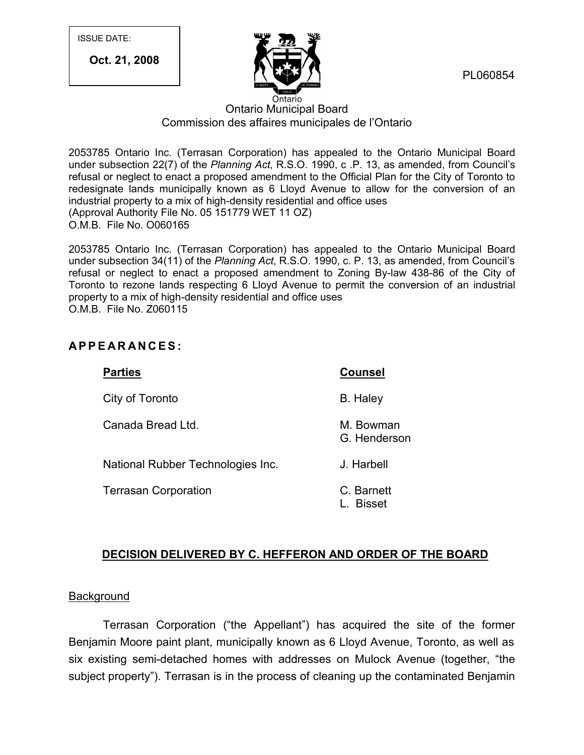ISSUE DATE:

**Oct. 21, 2008**



PL060854

# Ontario Municipal Board Commission des affaires municipales de l'Ontario

2053785 Ontario Inc. (Terrasan Corporation) has appealed to the Ontario Municipal Board under subsection 22(7) of the *Planning Act*, R.S.O. 1990, c .P. 13, as amended, from Council's refusal or neglect to enact a proposed amendment to the Official Plan for the City of Toronto to redesignate lands municipally known as 6 Lloyd Avenue to allow for the conversion of an industrial property to a mix of high-density residential and office uses (Approval Authority File No. 05 151779 WET 11 OZ) O.M.B. File No. O060165

2053785 Ontario Inc. (Terrasan Corporation) has appealed to the Ontario Municipal Board under subsection 34(11) of the *Planning Act*, R.S.O. 1990, c. P. 13, as amended, from Council's refusal or neglect to enact a proposed amendment to Zoning By-law 438-86 of the City of Foronto to rezone lands respecting 6 Lloyd Avenue to permit the conversion of an industrial property to a mix of high-density residential and office uses<br>
O.M.B. File No. 2060115<br> **APPEARANCES:**<br> **APPEARANCES:** property to a mix of high-density residential and office uses O.M.B. File No. Z060115

| <b>Parties</b>                    | <b>Counsel</b>              |
|-----------------------------------|-----------------------------|
| City of Toronto                   | <b>B.</b> Haley             |
| Canada Bread Ltd.                 | M. Bowman<br>G. Henderson   |
| National Rubber Technologies Inc. | J. Harbell                  |
| <b>Terrasan Corporation</b>       | C. Barnett<br><b>Bisset</b> |

# **DECISION DELIVERED BY C. HEFFERON AND ORDER OF THE BOARD**

## **Background**

Terrasan Corporation ("the Appellant") has acquired the site of the former Benjamin Moore paint plant, municipally known as 6 Lloyd Avenue, Toronto, as well as six existing semi-detached homes with addresses on Mulock Avenue (together, "the subject property"). Terrasan is in the process of cleaning up the contaminated Benjamin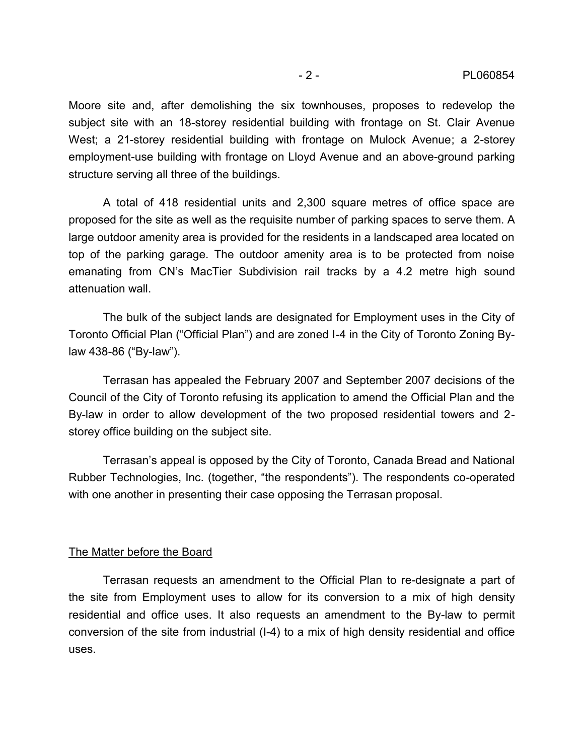Moore site and, after demolishing the six townhouses, proposes to redevelop the subject site with an 18-storey residential building with frontage on St. Clair Avenue West; a 21-storey residential building with frontage on Mulock Avenue; a 2-storey employment-use building with frontage on Lloyd Avenue and an above-ground parking structure serving all three of the buildings.

A total of 418 residential units and 2,300 square metres of office space are proposed for the site as well as the requisite number of parking spaces to serve them. A large outdoor amenity area is provided for the residents in a landscaped area located on top of the parking garage. The outdoor amenity area is to be protected from noise emanating from CN's MacTier Subdivision rail tracks by a 4.2 metre high sound attenuation wall.

The bulk of the subject lands are designated for Employment uses in the City of Toronto Official Plan ("Official Plan") and are zoned I-4 in the City of Toronto Zoning Bylaw 438-86 ("By-law"). Terrasan has appealed the February 2007 and September 2007 decisions of the

Council of the City of Toronto refusing its application to amend the Official Plan and the By-law in order to allow development of the two proposed residential towers and 2 storey office building on the subject site.

Terrasan's appeal is opposed by the City of Toronto, Canada Bread and National Rubber Technologies, Inc. (together, "the respondents"). The respondents co-operated with one another in presenting their case opposing the Terrasan proposal.

#### The Matter before the Board

Terrasan requests an amendment to the Official Plan to re-designate a part of the site from Employment uses to allow for its conversion to a mix of high density residential and office uses. It also requests an amendment to the By-law to permit conversion of the site from industrial (I-4) to a mix of high density residential and office uses.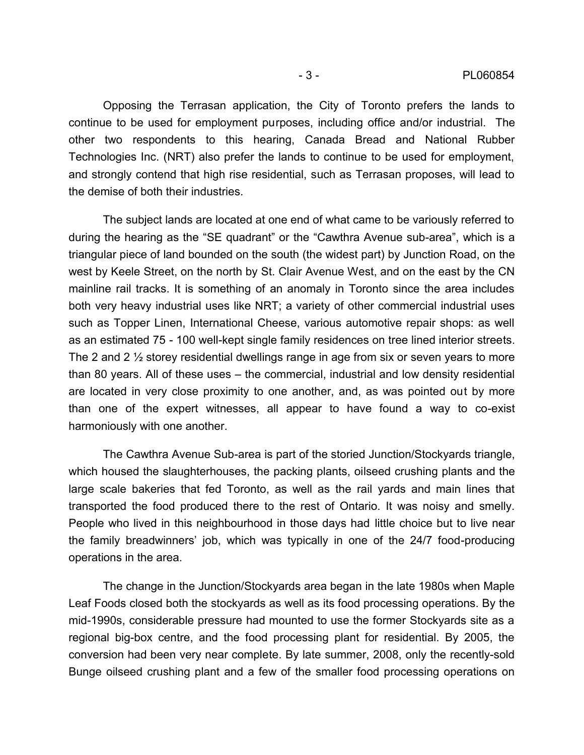Opposing the Terrasan application, the City of Toronto prefers the lands to continue to be used for employment purposes, including office and/or industrial. The other two respondents to this hearing, Canada Bread and National Rubber Technologies Inc. (NRT) also prefer the lands to continue to be used for employment, and strongly contend that high rise residential, such as Terrasan proposes, will lead to the demise of both their industries.

The subject lands are located at one end of what came to be variously referred to during the hearing as the "SE quadrant" or the "Cawthra Avenue sub-area", which is a triangular piece of land bounded on the south (the widest part) by Junction Road, on the west by Keele Street, on the north by St. Clair Avenue West, and on the east by the CN mainline rail tracks. It is something of an anomaly in Toronto since the area includes both very heavy industrial uses like NRT; a variety of other commercial industrial uses such as Topper Linen, International Cheese, various automotive repair shops: as well as an estimated 75 - 100 well-kept single family residences on tree lined interior streets. The 2 and 2 ½ storey residential dwellings range in age from six or seven years to more than 80 years. All of these uses – the commercial, industrial and low density residential are located in very close proximity to one another, and, as was pointed out by more than one of the expert witnesses, all appear to have found a way to co-exist harmoniously with one another.

The Cawthra Avenue Sub-area is part of the storied Junction/Stockyards triangle, which housed the slaughterhouses, the packing plants, oilseed crushing plants and the large scale bakeries that fed Toronto, as well as the rail yards and main lines that transported the food produced there to the rest of Ontario. It was noisy and smelly. People who lived in this neighbourhood in those days had little choice but to live near the family breadwinners' job, which was typically in one of the 24/7 food-producing operations in the area.

The change in the Junction/Stockyards area began in the late 1980s when Maple Leaf Foods closed both the stockyards as well as its food processing operations. By the mid-1990s, considerable pressure had mounted to use the former Stockyards site as a regional big-box centre, and the food processing plant for residential. By 2005, the conversion had been very near complete. By late summer, 2008, only the recently-sold Bunge oilseed crushing plant and a few of the smaller food processing operations on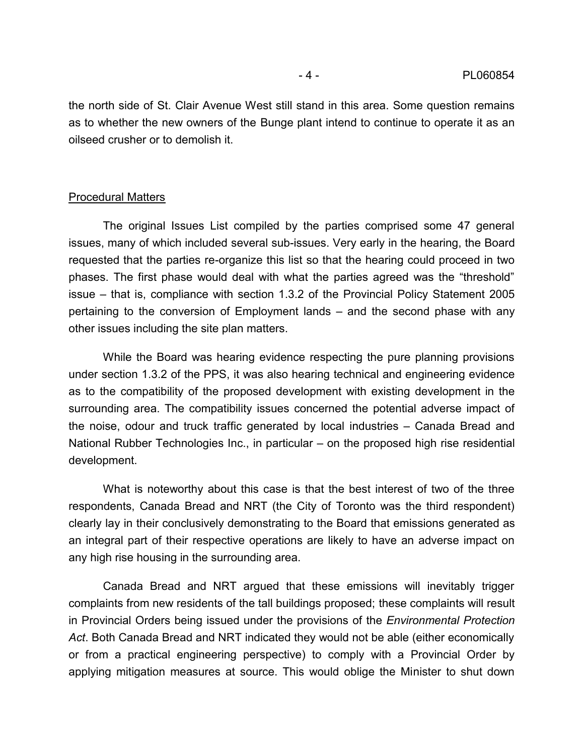the north side of St. Clair Avenue West still stand in this area. Some question remains as to whether the new owners of the Bunge plant intend to continue to operate it as an oilseed crusher or to demolish it.

### Procedural Matters

The original Issues List compiled by the parties comprised some 47 general issues, many of which included several sub-issues. Very early in the hearing, the Board requested that the parties re-organize this list so that the hearing could proceed in two phases. The first phase would deal with what the parties agreed was the "threshold" issue – that is, compliance with section 1.3.2 of the Provincial Policy Statement 2005 pertaining to the conversion of Employment lands – and the second phase with any other issues including the site plan matters.

While the Board was hearing evidence respecting the pure planning provisions under section 1.3.2 of the PPS, it was also hearing technical and engineering evidence as to the compatibility of the proposed development with existing development in the surrounding area. The compatibility issues concerned the potential adverse impact of the noise, odour and truck traffic generated by local industries – Canada Bread and National Rubber Technologies Inc., in particular – on the proposed high rise residential development.

What is noteworthy about this case is that the best interest of two of the three respondents, Canada Bread and NRT (the City of Toronto was the third respondent) clearly lay in their conclusively demonstrating to the Board that emissions generated as an integral part of their respective operations are likely to have an adverse impact on any high rise housing in the surrounding area.

Canada Bread and NRT argued that these emissions will inevitably trigger complaints from new residents of the tall buildings proposed; these complaints will result in Provincial Orders being issued under the provisions of the *Environmental Protection Act*. Both Canada Bread and NRT indicated they would not be able (either economically or from a practical engineering perspective) to comply with a Provincial Order by applying mitigation measures at source. This would oblige the Minister to shut down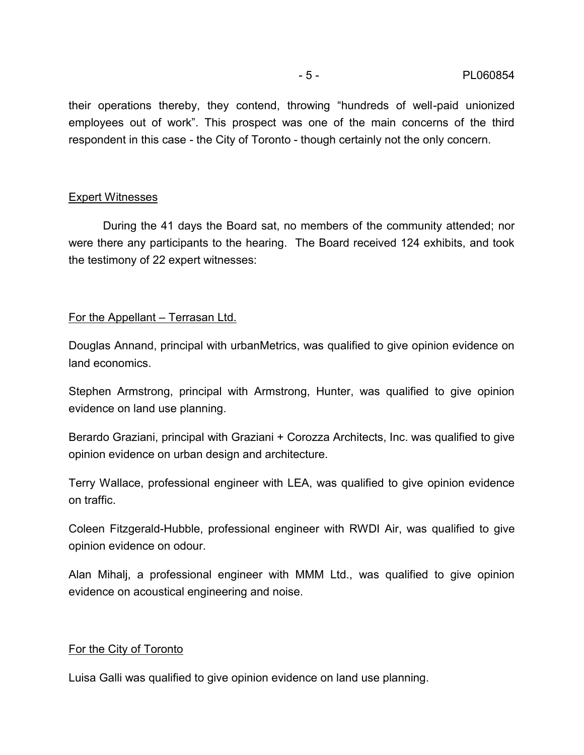their operations thereby, they contend, throwing "hundreds of well-paid unionized employees out of work". This prospect was one of the main concerns of the third respondent in this case - the City of Toronto - though certainly not the only concern.

## Expert Witnesses

During the 41 days the Board sat, no members of the community attended; nor were there any participants to the hearing. The Board received 124 exhibits, and took the testimony of 22 expert witnesses:

## For the Appellant – Terrasan Ltd.

Douglas Annand, principal with urbanMetrics, was qualified to give opinion evidence on land economics.

Stephen Armstrong, principal with Armstrong, Hunter, was qualified to give opinion evidence on land use planning.

Berardo Graziani, principal with Graziani + Corozza Architects, Inc. was qualified to give opinion evidence on urban design and architecture.

Terry Wallace, professional engineer with LEA, was qualified to give opinion evidence on traffic.

Coleen Fitzgerald-Hubble, professional engineer with RWDI Air, was qualified to give opinion evidence on odour.

Alan Mihalj, a professional engineer with MMM Ltd., was qualified to give opinion evidence on acoustical engineering and noise.

## For the City of Toronto

Luisa Galli was qualified to give opinion evidence on land use planning.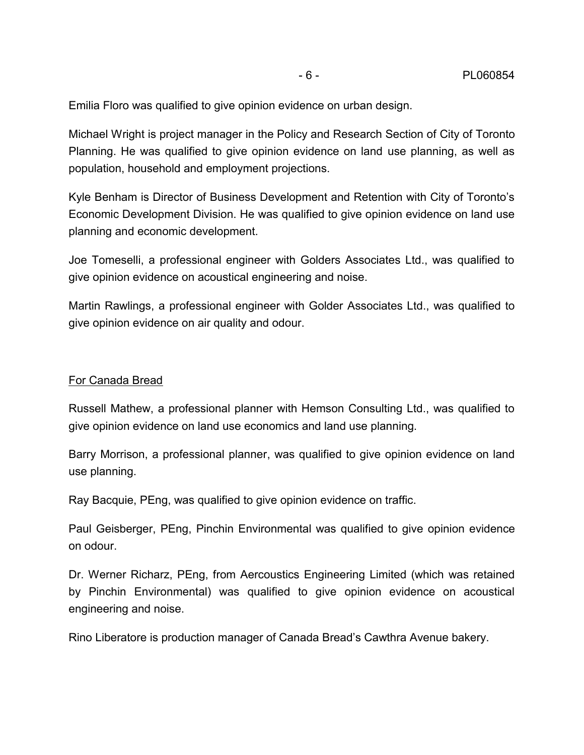Emilia Floro was qualified to give opinion evidence on urban design.

Michael Wright is project manager in the Policy and Research Section of City of Toronto Planning. He was qualified to give opinion evidence on land use planning, as well as population, household and employment projections.

Kyle Benham is Director of Business Development and Retention with City of Toronto's Economic Development Division. He was qualified to give opinion evidence on land use planning and economic development.

Joe Tomeselli, a professional engineer with Golders Associates Ltd., was qualified to give opinion evidence on acoustical engineering and noise.

Martin Rawlings, a professional engineer with Golder Associates Ltd., was qualified to give opinion evidence on air quality and odour.

## For Canada Bread

Russell Mathew, a professional planner with Hemson Consulting Ltd., was qualified to give opinion evidence on land use economics and land use planning.

Barry Morrison, a professional planner, was qualified to give opinion evidence on land use planning.

Ray Bacquie, PEng, was qualified to give opinion evidence on traffic.

Paul Geisberger, PEng, Pinchin Environmental was qualified to give opinion evidence on odour.

Dr. Werner Richarz, PEng, from Aercoustics Engineering Limited (which was retained by Pinchin Environmental) was qualified to give opinion evidence on acoustical engineering and noise.

Rino Liberatore is production manager of Canada Bread's Cawthra Avenue bakery.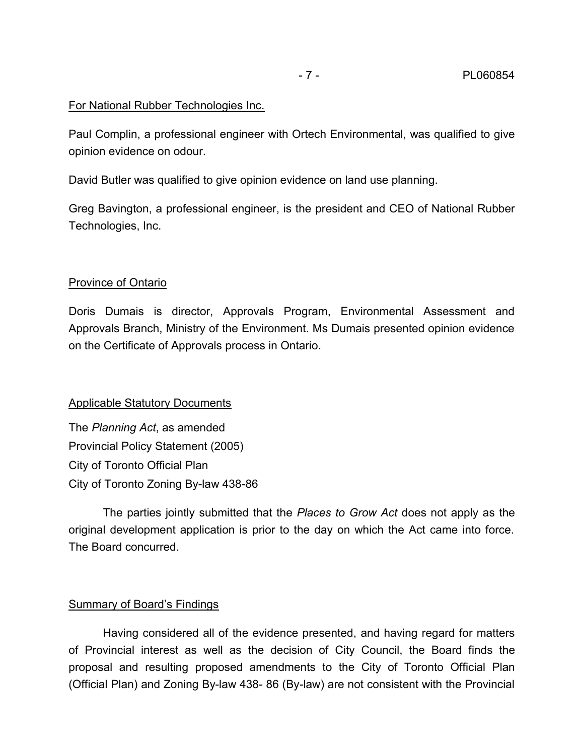## For National Rubber Technologies Inc.

Paul Complin, a professional engineer with Ortech Environmental, was qualified to give opinion evidence on odour.

David Butler was qualified to give opinion evidence on land use planning.

Greg Bavington, a professional engineer, is the president and CEO of National Rubber Technologies, Inc.

## Province of Ontario

Doris Dumais is director, Approvals Program, Environmental Assessment and Approvals Branch, Ministry of the Environment. Ms Dumais presented opinion evidence on the Certificate of Approvals process in Ontario.

## Applicable Statutory Documents

The *Planning Act*, as amended Provincial Policy Statement (2005) City of Toronto Official Plan City of Toronto Zoning By-law 438-86

The parties jointly submitted that the *Places to Grow Act* does not apply as the original development application is prior to the day on which the Act came into force. The Board concurred.

## Summary of Board's Findings

Having considered all of the evidence presented, and having regard for matters of Provincial interest as well as the decision of City Council, the Board finds the proposal and resulting proposed amendments to the City of Toronto Official Plan (Official Plan) and Zoning By-law 438- 86 (By-law) are not consistent with the Provincial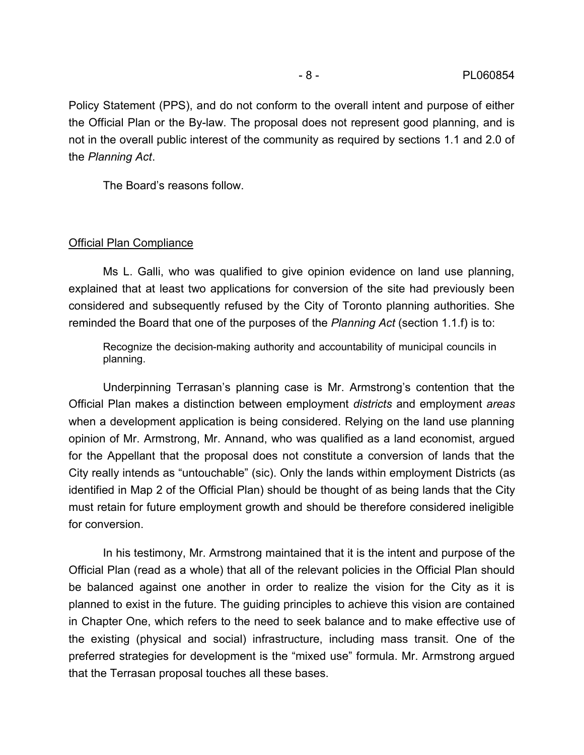Policy Statement (PPS), and do not conform to the overall intent and purpose of either the Official Plan or the By-law. The proposal does not represent good planning, and is not in the overall public interest of the community as required by sections 1.1 and 2.0 of the *Planning Act*.<br>The Board's reasons follow.

#### Official Plan Compliance

Ms L. Galli, who was qualified to give opinion evidence on land use planning, explained that at least two applications for conversion of the site had previously been considered and subsequently refused by the City of Toronto planning authorities. She reminded the Board that one of the purposes of the *Planning Act* (section 1.1.f) is to:

Recognize the decision-making authority and accountability of municipal councils in planning.

Underpinning Terrasan's planning case is Mr. Armstrong's contention that the Official Plan makes a distinction between employment *districts* and employment *areas* when a development application is being considered. Relying on the land use planning opinion of Mr. Armstrong, Mr. Annand, who was qualified as a land economist, argued for the Appellant that the proposal does not constitute a conversion of lands that the City really intends as "untouchable" (sic). Only the lands within employment Districts (as identified in Map 2 of the Official Plan) should be thought of as being lands that the City must retain for future employment growth and should be therefore considered ineligible for conversion.

In his testimony, Mr. Armstrong maintained that it is the intent and purpose of the Official Plan (read as a whole) that all of the relevant policies in the Official Plan should be balanced against one another in order to realize the vision for the City as it is planned to exist in the future. The guiding principles to achieve this vision are contained in Chapter One, which refers to the need to seek balance and to make effective use of the existing (physical and social) infrastructure, including mass transit. One of the preferred strategies for development is the "mixed use" formula. Mr. Armstrong argued that the Terrasan proposal touches all these bases.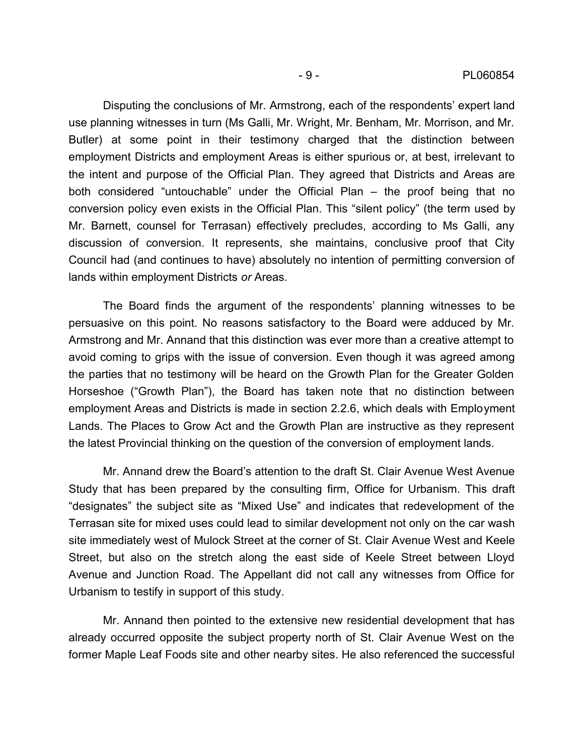Disputing the conclusions of Mr. Armstrong, each of the respondents' expert land use planning witnesses in turn (Ms Galli, Mr. Wright, Mr. Benham, Mr. Morrison, and Mr. Butler) at some point in their testimony charged that the distinction between employment Districts and employment Areas is either spurious or, at best, irrelevant to the intent and purpose of the Official Plan. They agreed that Districts and Areas are both considered "untouchable" under the Official Plan – the proof being that no conversion policy even exists in the Official Plan. This "silent policy" (the term used by Mr. Barnett, counsel for Terrasan) effectively precludes, according to Ms Galli, any discussion of conversion. It represents, she maintains, conclusive proof that City Council had (and continues to have) absolutely no intention of permitting conversion of lands within employment Districts *or* Areas.

The Board finds the argument of the respondents' planning witnesses to be persuasive on this point. No reasons satisfactory to the Board were adduced by Mr. Armstrong and Mr. Annand that this distinction was ever more than a creative attempt to avoid coming to grips with the issue of conversion. Even though it was agreed among the parties that no testimony will be heard on the Growth Plan for the Greater Golden Horseshoe ("Growth Plan"), the Board has taken note that no distinction between employment Areas and Districts is made in section 2.2.6, which deals with Employment Lands. The Places to Grow Act and the Growth Plan are instructive as they represent the latest Provincial thinking on the question of the conversion of employment lands.

Mr. Annand drew the Board's attention to the draft St. Clair Avenue West Avenue Study that has been prepared by the consulting firm, Office for Urbanism. This draft "designates" the subject site as "Mixed Use" and indicates that redevelopment of the Terrasan site for mixed uses could lead to similar development not only on the car wash site immediately west of Mulock Street at the corner of St. Clair Avenue West and Keele Street, but also on the stretch along the east side of Keele Street between Lloyd Avenue and Junction Road. The Appellant did not call any witnesses from Office for Urbanism to testify in support of this study.

Mr. Annand then pointed to the extensive new residential development that has already occurred opposite the subject property north of St. Clair Avenue West on the former Maple Leaf Foods site and other nearby sites. He also referenced the successful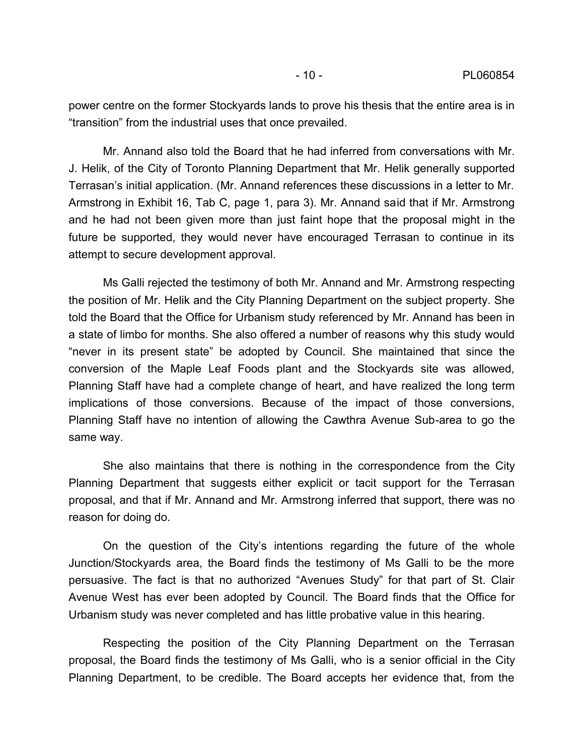power centre on the former Stockyards lands to prove his thesis that the entire area is in "transition" from the industrial uses that once prevailed.

Mr. Annand also told the Board that he had inferred from conversations with Mr. J. Helik, of the City of Toronto Planning Department that Mr. Helik generally supported Terrasan's initial application. (Mr. Annand references these discussions in a letter to Mr. Armstrong in Exhibit 16, Tab C, page 1, para 3). Mr. Annand said that if Mr. Armstrong and he had not been given more than just faint hope that the proposal might in the future be supported, they would never have encouraged Terrasan to continue in its attempt to secure development approval.

Ms Galli rejected the testimony of both Mr. Annand and Mr. Armstrong respecting the position of Mr. Helik and the City Planning Department on the subject property. She told the Board that the Office for Urbanism study referenced by Mr. Annand has been in a state of limbo for months. She also offered a number of reasons why this study would "never in its present state" be adopted by Council. She maintained that since the conversion of the Maple Leaf Foods plant and the Stockyards site was allowed, Planning Staff have had a complete change of heart, and have realized the long term implications of those conversions. Because of the impact of those conversions, Planning Staff have no intention of allowing the Cawthra Avenue Sub-area to go the same way.

She also maintains that there is nothing in the correspondence from the City Planning Department that suggests either explicit or tacit support for the Terrasan proposal, and that if Mr. Annand and Mr. Armstrong inferred that support, there was no reason for doing do.

On the question of the City's intentions regarding the future of the whole Junction/Stockyards area, the Board finds the testimony of Ms Galli to be the more persuasive. The fact is that no authorized "Avenues Study" for that part of St. Clair Avenue West has ever been adopted by Council. The Board finds that the Office for Urbanism study was never completed and has little probative value in this hearing.

Respecting the position of the City Planning Department on the Terrasan proposal, the Board finds the testimony of Ms Galli, who is a senior official in the City Planning Department, to be credible. The Board accepts her evidence that, from the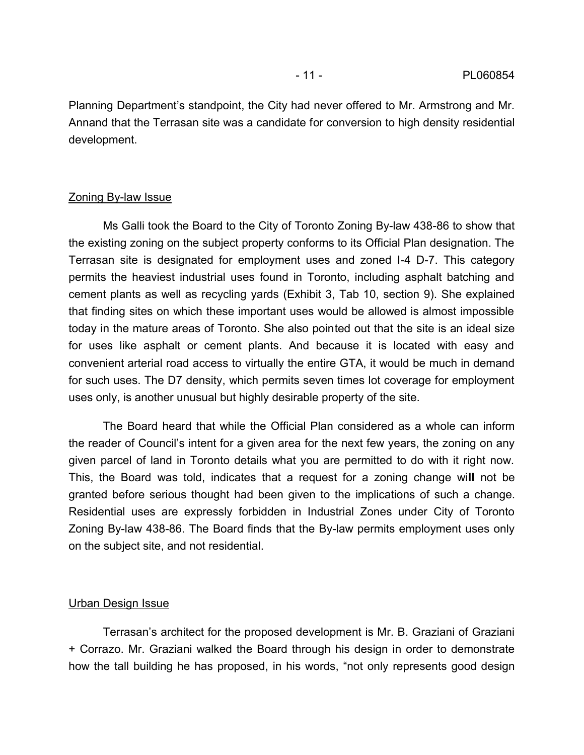Planning Department's standpoint, the City had never offered to Mr. Armstrong and Mr. Annand that the Terrasan site was a candidate for conversion to high density residential development.

### Zoning By-law Issue

Ms Galli took the Board to the City of Toronto Zoning By-law 438-86 to show that the existing zoning on the subject property conforms to its Official Plan designation. The Terrasan site is designated for employment uses and zoned I-4 D-7. This category permits the heaviest industrial uses found in Toronto, including asphalt batching and cement plants as well as recycling yards (Exhibit 3, Tab 10, section 9). She explained that finding sites on which these important uses would be allowed is almost impossible today in the mature areas of Toronto. She also pointed out that the site is an ideal size for uses like asphalt or cement plants. And because it is located with easy and convenient arterial road access to virtually the entire GTA, it would be much in demand for such uses. The D7 density, which permits seven times lot coverage for employment uses only, is another unusual but highly desirable property of the site.

The Board heard that while the Official Plan considered as a whole can inform the reader of Council's intent for a given area for the next few years, the zoning on any given parcel of land in Toronto details what you are permitted to do with it right now. This, the Board was told, indicates that a request for a zoning change wi**ll** not be granted before serious thought had been given to the implications of such a change. Residential uses are expressly forbidden in Industrial Zones under City of Toronto Zoning By-law 438-86. The Board finds that the By-law permits employment uses only on the subject site, and not residential.

#### Urban Design Issue

Terrasan's architect for the proposed development is Mr. B. Graziani of Graziani + Corrazo. Mr. Graziani walked the Board through his design in order to demonstrate how the tall building he has proposed, in his words, "not only represents good design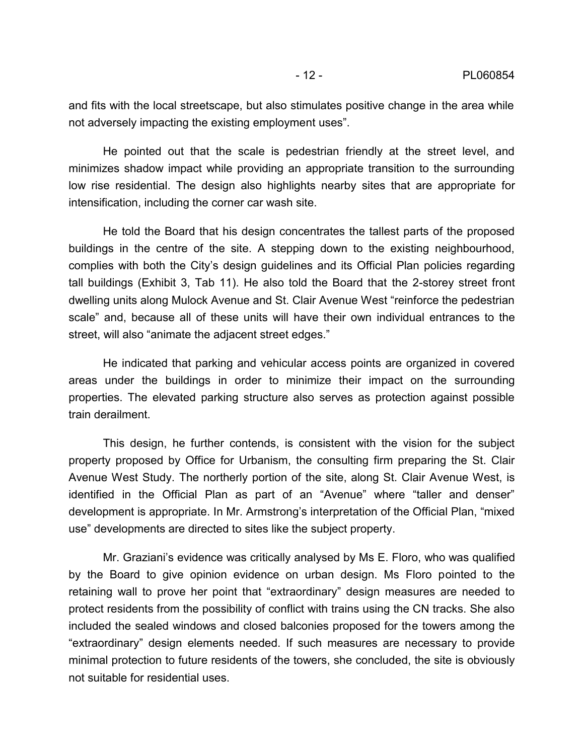and fits with the local streetscape, but also stimulates positive change in the area while not adversely impacting the existing employment uses".

He pointed out that the scale is pedestrian friendly at the street level, and minimizes shadow impact while providing an appropriate transition to the surrounding low rise residential. The design also highlights nearby sites that are appropriate for intensification, including the corner car wash site.

He told the Board that his design concentrates the tallest parts of the proposed buildings in the centre of the site. A stepping down to the existing neighbourhood, complies with both the City's design guidelines and its Official Plan policies regarding tall buildings (Exhibit 3, Tab 11). He also told the Board that the 2-storey street front dwelling units along Mulock Avenue and St. Clair Avenue West "reinforce the pedestrian scale" and, because all of these units will have their own individual entrances to the street, will also "animate the adjacent street edges."

He indicated that parking and vehicular access points are organized in covered areas under the buildings in order to minimize their impact on the surrounding properties. The elevated parking structure also serves as protection against possible train derailment.

This design, he further contends, is consistent with the vision for the subject property proposed by Office for Urbanism, the consulting firm preparing the St. Clair Avenue West Study. The northerly portion of the site, along St. Clair Avenue West, is identified in the Official Plan as part of an "Avenue" where "taller and denser" development is appropriate. In Mr. Armstrong's interpretation of the Official Plan, "mixed use" developments are directed to sites like the subject property.

Mr. Graziani's evidence was critically analysed by Ms E. Floro, who was qualified by the Board to give opinion evidence on urban design. Ms Floro pointed to the retaining wall to prove her point that "extraordinary" design measures are needed to protect residents from the possibility of conflict with trains using the CN tracks. She also included the sealed windows and closed balconies proposed for the towers among the "extraordinary" design elements needed. If such measures are necessary to provide minimal protection to future residents of the towers, she concluded, the site is obviously not suitable for residential uses.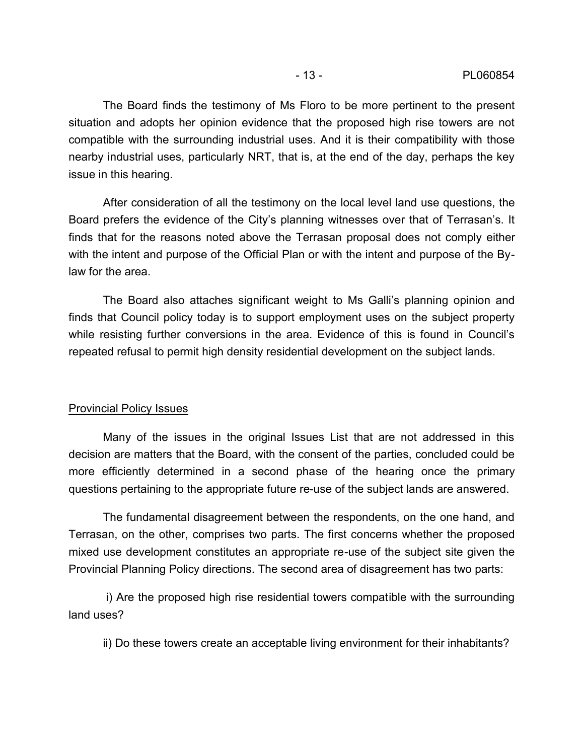The Board finds the testimony of Ms Floro to be more pertinent to the present situation and adopts her opinion evidence that the proposed high rise towers are not compatible with the surrounding industrial uses. And it is their compatibility with those nearby industrial uses, particularly NRT, that is, at the end of the day, perhaps the key issue in this hearing.

After consideration of all the testimony on the local level land use questions, the Board prefers the evidence of the City's planning witnesses over that of Terrasan's. It finds that for the reasons noted above the Terrasan proposal does not comply either with the intent and purpose of the Official Plan or with the intent and purpose of the Bylaw for the area.

The Board also attaches significant weight to Ms Galli's planning opinion and finds that Council policy today is to support employment uses on the subject property while resisting further conversions in the area. Evidence of this is found in Council's repeated refusal to permit high density residential development on the subject lands.

## Provincial Policy Issues

Many of the issues in the original Issues List that are not addressed in this decision are matters that the Board, with the consent of the parties, concluded could be more efficiently determined in a second phase of the hearing once the primary questions pertaining to the appropriate future re-use of the subject lands are answered.

The fundamental disagreement between the respondents, on the one hand, and Terrasan, on the other, comprises two parts. The first concerns whether the proposed mixed use development constitutes an appropriate re-use of the subject site given the Provincial Planning Policy directions. The second area of disagreement has two parts:

 i) Are the proposed high rise residential towers compatible with the surrounding land uses?

ii) Do these towers create an acceptable living environment for their inhabitants?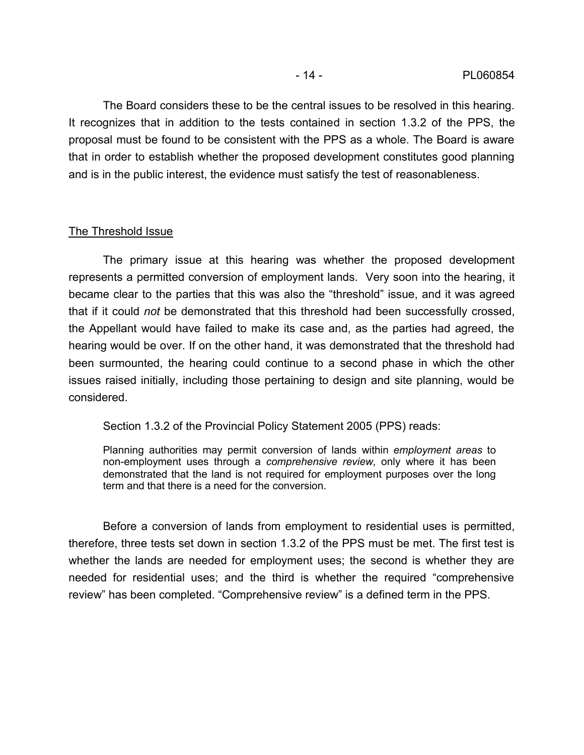The Board considers these to be the central issues to be resolved in this hearing. It recognizes that in addition to the tests contained in section 1.3.2 of the PPS, the proposal must be found to be consistent with the PPS as a whole. The Board is aware that in order to establish whether the proposed development constitutes good planning and is in the public interest, the evidence must satisfy the test of reasonableness.

## The Threshold Issue

The primary issue at this hearing was whether the proposed development represents a permitted conversion of employment lands. Very soon into the hearing, it became clear to the parties that this was also the "threshold" issue, and it was agreed that if it could *not* be demonstrated that this threshold had been successfully crossed, the Appellant would have failed to make its case and, as the parties had agreed, the hearing would be over. If on the other hand, it was demonstrated that the threshold had been surmounted, the hearing could continue to a second phase in which the other issues raised initially, including those pertaining to design and site planning, would be considered.

Section 1.3.2 of the Provincial Policy Statement 2005 (PPS) reads:

Planning authorities may permit conversion of lands within *employment areas* to non-employment uses through a *comprehensive review*, only where it has been demonstrated that the land is not required for employment purposes over the long term and that there is a need for the conversion.

Before a conversion of lands from employment to residential uses is permitted, therefore, three tests set down in section 1.3.2 of the PPS must be met. The first test is whether the lands are needed for employment uses; the second is whether they are needed for residential uses; and the third is whether the required "comprehensive review" has been completed. "Comprehensive review" is a defined term in the PPS.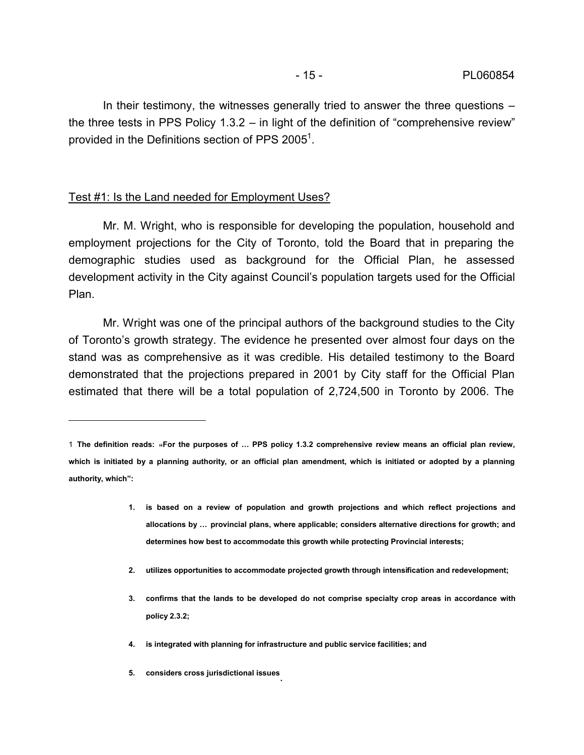In their testimony, the witnesses generally tried to answer the three questions – the three tests in PPS Policy 1.3.2 – in light of the definition of "comprehensive review" provided in the Definitions section of PPS 2005 $^1$ .

## Test #1: Is the Land needed for Employment Uses?

 $\overline{a}$ 

Mr. M. Wright, who is responsible for developing the population, household and employment projections for the City of Toronto, told the Board that in preparing the demographic studies used as background for the Official Plan, he assessed development activity in the City against Council's population targets used for the Official Plan.

Mr. Wright was one of the principal authors of the background studies to the City of Toronto's growth strategy. The evidence he presented over almost four days on the stand was as comprehensive as it was credible. His detailed testimony to the Board demonstrated that the projections prepared in 2001 by City staff for the Official Plan estimated that there will be a total population of 2,724,500 in Toronto by 2006. The

- **1. is based on a review of population and growth projections and which reflect projections and allocations by … provincial plans, where applicable; considers alternative directions for growth; and determines how best to accommodate this growth while protecting Provincial interests;**
- **2. utilizes opportunities to accommodate projected growth through intensification and redevelopment;**
- **3. confirms that the lands to be developed do not comprise specialty crop areas in accordance with policy 2.3.2;**
- **4. is integrated with planning for infrastructure and public service facilities; and**
- **5. considers cross jurisdictional issues** .

<sup>1</sup> **The definition reads:** "**For the purposes of … PPS policy 1.3.2 comprehensive review means an official plan review, which is initiated by a planning authority, or an official plan amendment, which is initiated or adopted by a planning authority, which":**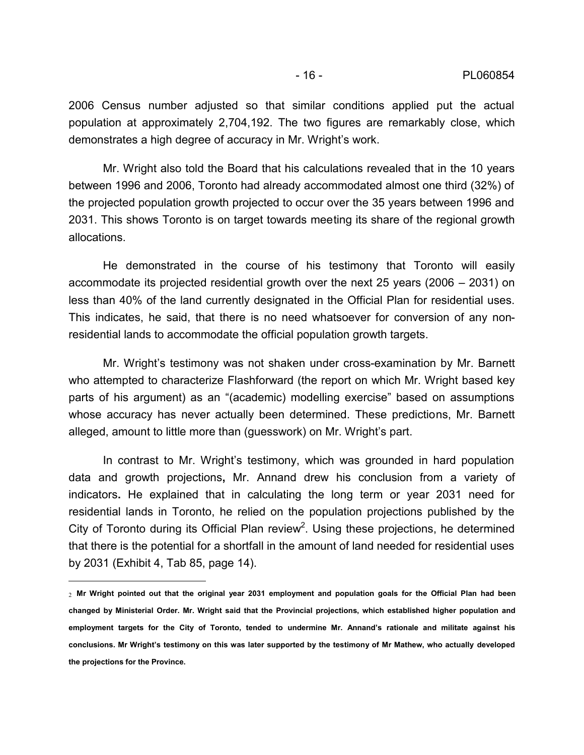2006 Census number adjusted so that similar conditions applied put the actual population at approximately 2,704,192. The two figures are remarkably close, which demonstrates a high degree of accuracy in Mr. Wright's work.

Mr. Wright also told the Board that his calculations revealed that in the 10 years between 1996 and 2006, Toronto had already accommodated almost one third (32%) of the projected population growth projected to occur over the 35 years between 1996 and 2031. This shows Toronto is on target towards meeting its share of the regional growth allocations.

He demonstrated in the course of his testimony that Toronto will easily accommodate its projected residential growth over the next 25 years (2006 – 2031) on less than 40% of the land currently designated in the Official Plan for residential uses. This indicates, he said, that there is no need whatsoever for conversion of any nonresidential lands to accommodate the official population growth targets.

Mr. Wright's testimony was not shaken under cross-examination by Mr. Barnett who attempted to characterize Flashforward (the report on which Mr. Wright based key parts of his argument) as an "(academic) modelling exercise" based on assumptions whose accuracy has never actually been determined. These predictions, Mr. Barnett alleged, amount to little more than (guesswork) on Mr. Wright's part.

In contrast to Mr. Wright's testimony, which was grounded in hard population data and growth projections**,** Mr. Annand drew his conclusion from a variety of indicators**.** He explained that in calculating the long term or year 2031 need for residential lands in Toronto, he relied on the population projections published by the City of Toronto during its Official Plan review<sup>2</sup>. Using these projections, he determined that there is the potential for a shortfall in the amount of land needed for residential uses by 2031 (Exhibit 4, Tab 85, page 14).

 $\overline{a}$ 

<sup>2</sup> **Mr Wright pointed out that the original year 2031 employment and population goals for the Official Plan had been changed by Ministerial Order. Mr. Wright said that the Provincial projections, which established higher population and employment targets for the City of Toronto, tended to undermine Mr. Annand's rationale and militate against his conclusions. Mr Wright's testimony on this was later supported by the testimony of Mr Mathew, who actually developed the projections for the Province.**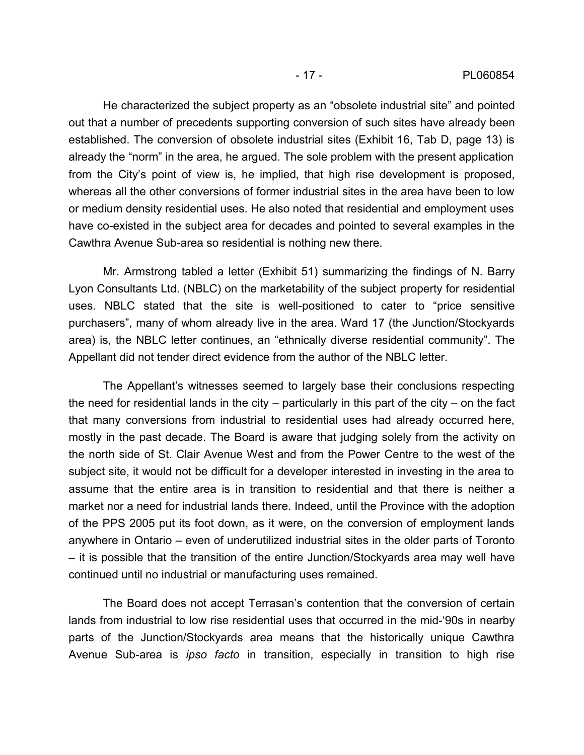He characterized the subject property as an "obsolete industrial site" and pointed out that a number of precedents supporting conversion of such sites have already been established. The conversion of obsolete industrial sites (Exhibit 16, Tab D, page 13) is already the "norm" in the area, he argued. The sole problem with the present application from the City's point of view is, he implied, that high rise development is proposed, whereas all the other conversions of former industrial sites in the area have been to low or medium density residential uses. He also noted that residential and employment uses have co-existed in the subject area for decades and pointed to several examples in the Cawthra Avenue Sub-area so residential is nothing new there.

Mr. Armstrong tabled a letter (Exhibit 51) summarizing the findings of N. Barry Lyon Consultants Ltd. (NBLC) on the marketability of the subject property for residential uses. NBLC stated that the site is well-positioned to cater to "price sensitive purchasers", many of whom already live in the area. Ward 17 (the Junction/Stockyards area) is, the NBLC letter continues, an "ethnically diverse residential community". The Appellant did not tender direct evidence from the author of the NBLC letter.

The Appellant's witnesses seemed to largely base their conclusions respecting the need for residential lands in the city – particularly in this part of the city – on the fact that many conversions from industrial to residential uses had already occurred here, mostly in the past decade. The Board is aware that judging solely from the activity on the north side of St. Clair Avenue West and from the Power Centre to the west of the subject site, it would not be difficult for a developer interested in investing in the area to assume that the entire area is in transition to residential and that there is neither a market nor a need for industrial lands there. Indeed, until the Province with the adoption of the PPS 2005 put its foot down, as it were, on the conversion of employment lands anywhere in Ontario – even of underutilized industrial sites in the older parts of Toronto – it is possible that the transition of the entire Junction/Stockyards area may well have continued until no industrial or manufacturing uses remained.

The Board does not accept Terrasan's contention that the conversion of certain lands from industrial to low rise residential uses that occurred in the mid-'90s in nearby parts of the Junction/Stockyards area means that the historically unique Cawthra Avenue Sub-area is *ipso facto* in transition, especially in transition to high rise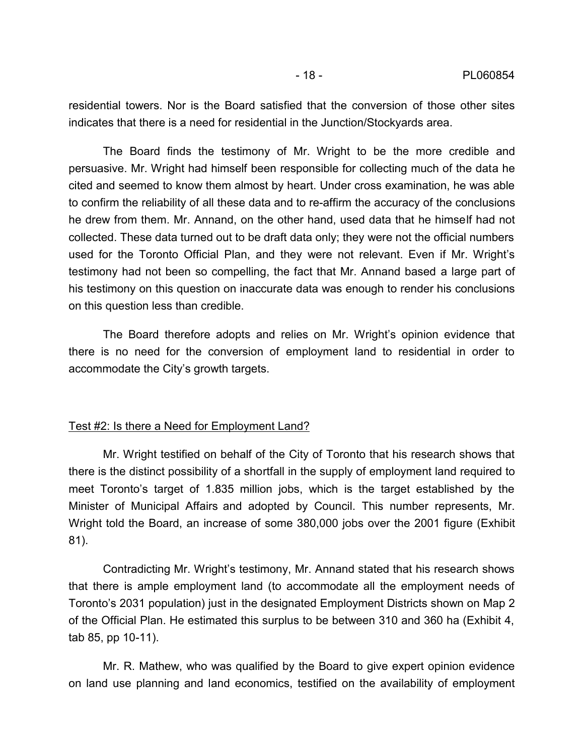residential towers. Nor is the Board satisfied that the conversion of those other sites indicates that there is a need for residential in the Junction/Stockyards area.

The Board finds the testimony of Mr. Wright to be the more credible and persuasive. Mr. Wright had himself been responsible for collecting much of the data he cited and seemed to know them almost by heart. Under cross examination, he was able to confirm the reliability of all these data and to re-affirm the accuracy of the conclusions he drew from them. Mr. Annand, on the other hand, used data that he himself had not collected. These data turned out to be draft data only; they were not the official numbers used for the Toronto Official Plan, and they were not relevant. Even if Mr. Wright's testimony had not been so compelling, the fact that Mr. Annand based a large part of his testimony on this question on inaccurate data was enough to render his conclusions on this question less than credible.

The Board therefore adopts and relies on Mr. Wright's opinion evidence that there is no need for the conversion of employment land to residential in order to accommodate the City's growth targets.

#### Test #2: Is there a Need for Employment Land?

Mr. Wright testified on behalf of the City of Toronto that his research shows that there is the distinct possibility of a shortfall in the supply of employment land required to meet Toronto's target of 1.835 million jobs, which is the target established by the Minister of Municipal Affairs and adopted by Council. This number represents, Mr. Wright told the Board, an increase of some 380,000 jobs over the 2001 figure (Exhibit 81).

Contradicting Mr. Wright's testimony, Mr. Annand stated that his research shows that there is ample employment land (to accommodate all the employment needs of Toronto's 2031 population) just in the designated Employment Districts shown on Map 2 of the Official Plan. He estimated this surplus to be between 310 and 360 ha (Exhibit 4, tab 85, pp 10-11).

Mr. R. Mathew, who was qualified by the Board to give expert opinion evidence on land use planning and land economics, testified on the availability of employment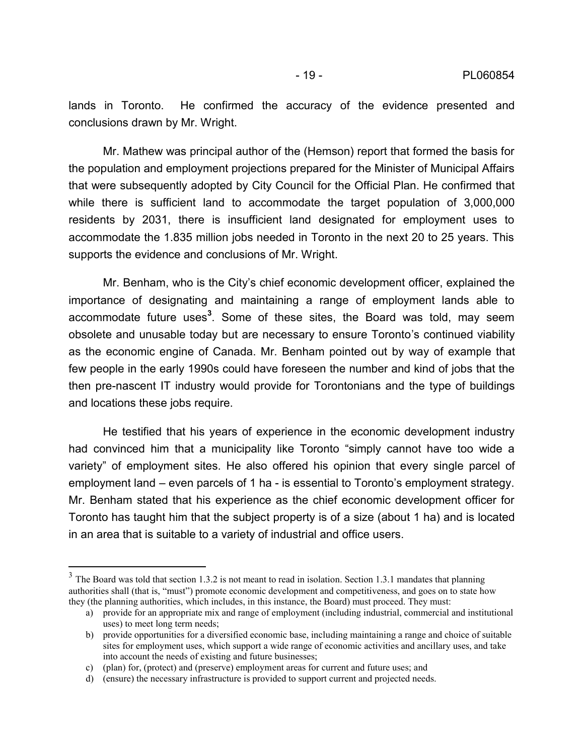lands in Toronto. He confirmed the accuracy of the evidence presented and conclusions drawn by Mr. Wright.

Mr. Mathew was principal author of the (Hemson) report that formed the basis for the population and employment projections prepared for the Minister of Municipal Affairs that were subsequently adopted by City Council for the Official Plan. He confirmed that while there is sufficient land to accommodate the target population of 3,000,000 residents by 2031, there is insufficient land designated for employment uses to accommodate the 1.835 million jobs needed in Toronto in the next 20 to 25 years. This supports the evidence and conclusions of Mr. Wright.

Mr. Benham, who is the City's chief economic development officer, explained the importance of designating and maintaining a range of employment lands able to accommodate future uses**<sup>3</sup>** . Some of these sites, the Board was told, may seem obsolete and unusable today but are necessary to ensure Toronto's continued viability as the economic engine of Canada. Mr. Benham pointed out by way of example that few people in the early 1990s could have foreseen the number and kind of jobs that the then pre-nascent IT industry would provide for Torontonians and the type of buildings and locations these jobs require.

He testified that his years of experience in the economic development industry had convinced him that a municipality like Toronto "simply cannot have too wide a variety" of employment sites. He also offered his opinion that every single parcel of employment land – even parcels of 1 ha - is essential to Toronto's employment strategy. Mr. Benham stated that his experience as the chief economic development officer for Toronto has taught him that the subject property is of a size (about 1 ha) and is located in an area that is suitable to a variety of industrial and office users.

<sup>&</sup>lt;sup>3</sup> The Board was told that section 1.3.2 is not meant to read in isolation. Section 1.3.1 mandates that planning authorities shall (that is, "must") promote economic development and competitiveness, and goes on to state how they (the planning authorities, which includes, in this instance, the Board) must proceed. They must:

a) provide for an appropriate mix and range of employment (including industrial, commercial and institutional uses) to meet long term needs;

b) provide opportunities for a diversified economic base, including maintaining a range and choice of suitable sites for employment uses, which support a wide range of economic activities and ancillary uses, and take into account the needs of existing and future businesses;

c) (plan) for, (protect) and (preserve) employment areas for current and future uses; and

d) (ensure) the necessary infrastructure is provided to support current and projected needs.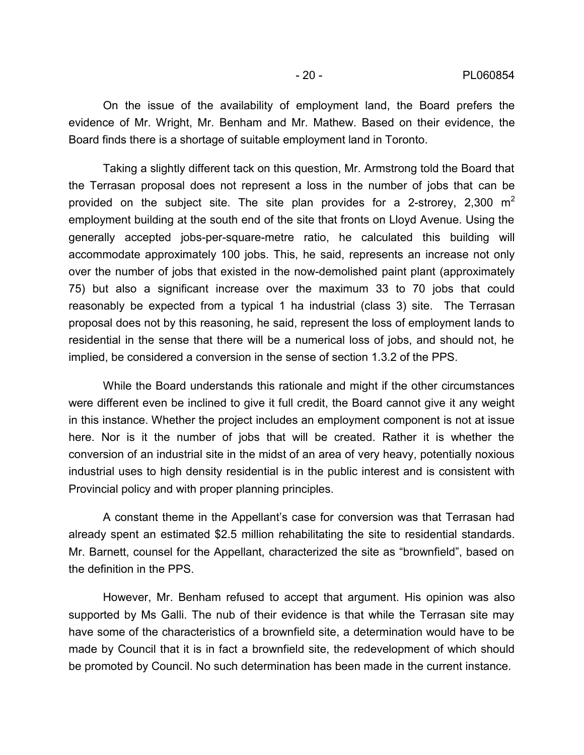On the issue of the availability of employment land, the Board prefers the evidence of Mr. Wright, Mr. Benham and Mr. Mathew. Based on their evidence, the Board finds there is a shortage of suitable employment land in Toronto.

Taking a slightly different tack on this question, Mr. Armstrong told the Board that the Terrasan proposal does not represent a loss in the number of jobs that can be provided on the subject site. The site plan provides for a 2-strorey,  $2,300 \text{ m}^2$ employment building at the south end of the site that fronts on Lloyd Avenue. Using the generally accepted jobs-per-square-metre ratio, he calculated this building will accommodate approximately 100 jobs. This, he said, represents an increase not only over the number of jobs that existed in the now-demolished paint plant (approximately 75) but also a significant increase over the maximum 33 to 70 jobs that could reasonably be expected from a typical 1 ha industrial (class 3) site. The Terrasan proposal does not by this reasoning, he said, represent the loss of employment lands to residential in the sense that there will be a numerical loss of jobs, and should not, he implied, be considered a conversion in the sense of section 1.3.2 of the PPS.

While the Board understands this rationale and might if the other circumstances were different even be inclined to give it full credit, the Board cannot give it any weight in this instance. Whether the project includes an employment component is not at issue here. Nor is it the number of jobs that will be created. Rather it is whether the conversion of an industrial site in the midst of an area of very heavy, potentially noxious industrial uses to high density residential is in the public interest and is consistent with Provincial policy and with proper planning principles.

A constant theme in the Appellant's case for conversion was that Terrasan had already spent an estimated \$2.5 million rehabilitating the site to residential standards. Mr. Barnett, counsel for the Appellant, characterized the site as "brownfield", based on the definition in the PPS.

However, Mr. Benham refused to accept that argument. His opinion was also supported by Ms Galli. The nub of their evidence is that while the Terrasan site may have some of the characteristics of a brownfield site, a determination would have to be made by Council that it is in fact a brownfield site, the redevelopment of which should be promoted by Council. No such determination has been made in the current instance.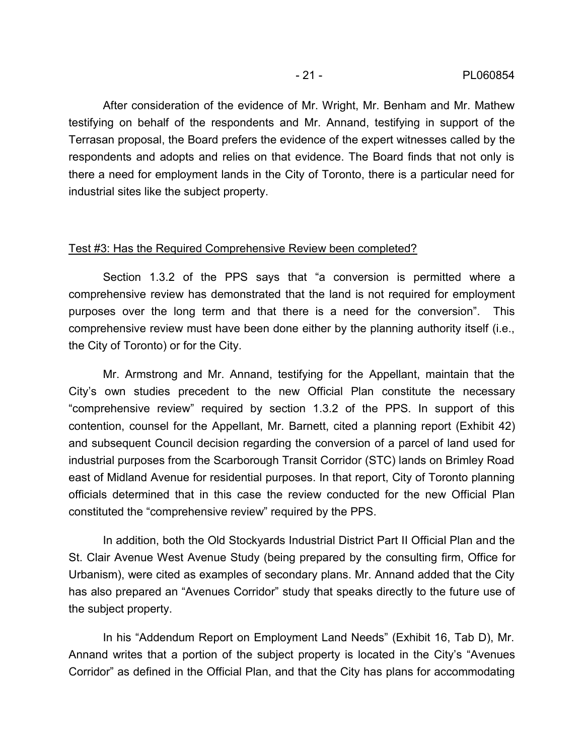After consideration of the evidence of Mr. Wright, Mr. Benham and Mr. Mathew testifying on behalf of the respondents and Mr. Annand, testifying in support of the Terrasan proposal, the Board prefers the evidence of the expert witnesses called by the respondents and adopts and relies on that evidence. The Board finds that not only is there a need for employment lands in the City of Toronto, there is a particular need for industrial sites like the subject property.

## Test #3: Has the Required Comprehensive Review been completed?

Section 1.3.2 of the PPS says that "a conversion is permitted where a comprehensive review has demonstrated that the land is not required for employment purposes over the long term and that there is a need for the conversion". This comprehensive review must have been done either by the planning authority itself (i.e., the City of Toronto) or for the City.

Mr. Armstrong and Mr. Annand, testifying for the Appellant, maintain that the City's own studies precedent to the new Official Plan constitute the necessary "comprehensive review" required by section 1.3.2 of the PPS. In support of this contention, counsel for the Appellant, Mr. Barnett, cited a planning report (Exhibit 42) and subsequent Council decision regarding the conversion of a parcel of land used for industrial purposes from the Scarborough Transit Corridor (STC) lands on Brimley Road east of Midland Avenue for residential purposes. In that report, City of Toronto planning officials determined that in this case the review conducted for the new Official Plan constituted the "comprehensive review" required by the PPS.

In addition, both the Old Stockyards Industrial District Part II Official Plan and the St. Clair Avenue West Avenue Study (being prepared by the consulting firm, Office for Urbanism), were cited as examples of secondary plans. Mr. Annand added that the City has also prepared an "Avenues Corridor" study that speaks directly to the future use of the subject property.

In his "Addendum Report on Employment Land Needs" (Exhibit 16, Tab D), Mr. Annand writes that a portion of the subject property is located in the City's "Avenues Corridor" as defined in the Official Plan, and that the City has plans for accommodating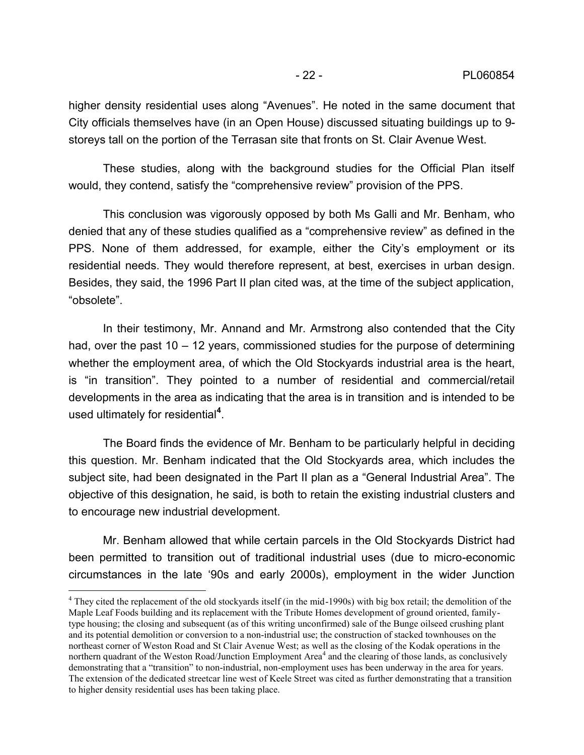higher density residential uses along "Avenues". He noted in the same document that City officials themselves have (in an Open House) discussed situating buildings up to 9 storeys tall on the portion of the Terrasan site that fronts on St. Clair Avenue West.

These studies, along with the background studies for the Official Plan itself would, they contend, satisfy the "comprehensive review" provision of the PPS.

This conclusion was vigorously opposed by both Ms Galli and Mr. Benham, who denied that any of these studies qualified as a "comprehensive review" as defined in the PPS. None of them addressed, for example, either the City's employment or its residential needs. They would therefore represent, at best, exercises in urban design. Besides, they said, the 1996 Part II plan cited was, at the time of the subject application, "obsolete".

In their testimony, Mr. Annand and Mr. Armstrong also contended that the City had, over the past 10 – 12 years, commissioned studies for the purpose of determining whether the employment area, of which the Old Stockyards industrial area is the heart, is "in transition". They pointed to a number of residential and commercial/retail developments in the area as indicating that the area is in transition and is intended to be used ultimately for residential**<sup>4</sup>**

. The Board finds the evidence of Mr. Benham to be particularly helpful in deciding this question. Mr. Benham indicated that the Old Stockyards area, which includes the subject site, had been designated in the Part II plan as a "General Industrial Area". The objective of this designation, he said, is both to retain the existing industrial clusters and to encourage new industrial development.

Mr. Benham allowed that while certain parcels in the Old Stockyards District had been permitted to transition out of traditional industrial uses (due to micro-economic circumstances in the late '90s and early 2000s), employment in the wider Junction

<sup>&</sup>lt;sup>4</sup> They cited the replacement of the old stockyards itself (in the mid-1990s) with big box retail; the demolition of the Maple Leaf Foods building and its replacement with the Tribute Homes development of ground oriented, familytype housing; the closing and subsequent (as of this writing unconfirmed) sale of the Bunge oilseed crushing plant and its potential demolition or conversion to a non-industrial use; the construction of stacked townhouses on the northeast corner of Weston Road and St Clair Avenue West; as well as the closing of the Kodak operations in the northern quadrant of the Weston Road/Junction Employment Area<sup>4</sup> and the clearing of those lands, as conclusively demonstrating that a "transition" to non-industrial, non-employment uses has been underway in the area for years. The extension of the dedicated streetcar line west of Keele Street was cited as further demonstrating that a transition to higher density residential uses has been taking place.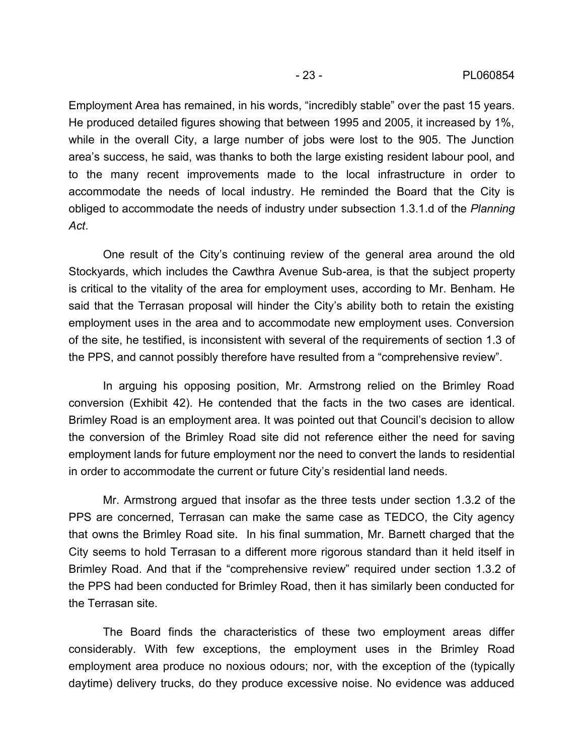Employment Area has remained, in his words, "incredibly stable" over the past 15 years. He produced detailed figures showing that between 1995 and 2005, it increased by 1%, while in the overall City, a large number of jobs were lost to the 905. The Junction area's success, he said, was thanks to both the large existing resident labour pool, and to the many recent improvements made to the local infrastructure in order to accommodate the needs of local industry. He reminded the Board that the City is obliged to accommodate the needs of industry under subsection 1.3.1.d of the *Planning Act*. One result of the City's continuing review of the general area around the old

Stockyards, which includes the Cawthra Avenue Sub-area, is that the subject property is critical to the vitality of the area for employment uses, according to Mr. Benham. He said that the Terrasan proposal will hinder the City's ability both to retain the existing employment uses in the area and to accommodate new employment uses. Conversion of the site, he testified, is inconsistent with several of the requirements of section 1.3 of the PPS, and cannot possibly therefore have resulted from a "comprehensive review".

In arguing his opposing position, Mr. Armstrong relied on the Brimley Road conversion (Exhibit 42). He contended that the facts in the two cases are identical. Brimley Road is an employment area. It was pointed out that Council's decision to allow the conversion of the Brimley Road site did not reference either the need for saving employment lands for future employment nor the need to convert the lands to residential in order to accommodate the current or future City's residential land needs.

Mr. Armstrong argued that insofar as the three tests under section 1.3.2 of the PPS are concerned, Terrasan can make the same case as TEDCO, the City agency that owns the Brimley Road site. In his final summation, Mr. Barnett charged that the City seems to hold Terrasan to a different more rigorous standard than it held itself in Brimley Road. And that if the "comprehensive review" required under section 1.3.2 of the PPS had been conducted for Brimley Road, then it has similarly been conducted for the Terrasan site.

The Board finds the characteristics of these two employment areas differ considerably. With few exceptions, the employment uses in the Brimley Road employment area produce no noxious odours; nor, with the exception of the (typically daytime) delivery trucks, do they produce excessive noise. No evidence was adduced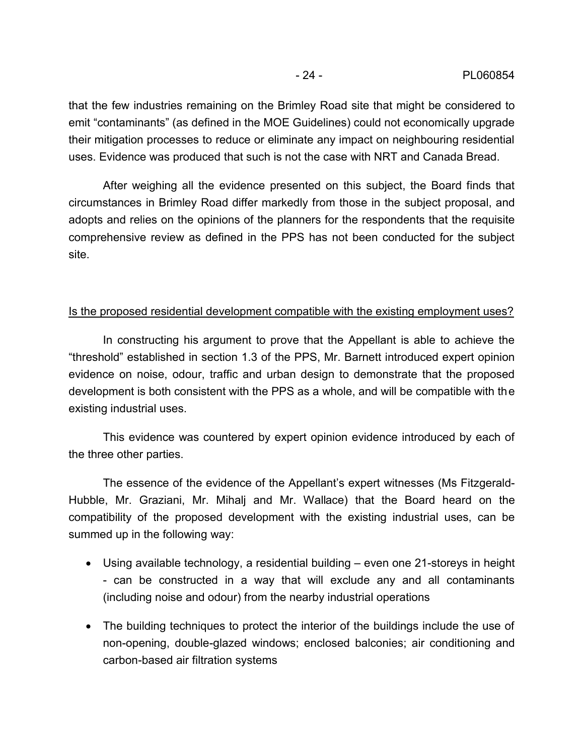that the few industries remaining on the Brimley Road site that might be considered to emit "contaminants" (as defined in the MOE Guidelines) could not economically upgrade their mitigation processes to reduce or eliminate any impact on neighbouring residential uses. Evidence was produced that such is not the case with NRT and Canada Bread.

After weighing all the evidence presented on this subject, the Board finds that circumstances in Brimley Road differ markedly from those in the subject proposal, and adopts and relies on the opinions of the planners for the respondents that the requisite comprehensive review as defined in the PPS has not been conducted for the subject site.

## Is the proposed residential development compatible with the existing employment uses?

In constructing his argument to prove that the Appellant is able to achieve the "threshold" established in section 1.3 of the PPS, Mr. Barnett introduced expert opinion evidence on noise, odour, traffic and urban design to demonstrate that the proposed development is both consistent with the PPS as a whole, and will be compatible with the existing industrial uses.

This evidence was countered by expert opinion evidence introduced by each of the three other parties.

The essence of the evidence of the Appellant's expert witnesses (Ms Fitzgerald- Hubble, Mr. Graziani, Mr. Mihalj and Mr. Wallace) that the Board heard on the compatibility of the proposed development with the existing industrial uses, can be summed up in the following way:

- Using available technology, a residential building even one 21-storeys in height can be constructed in a way that will exclude any and all contaminants (including noise and odour) from the nearby industrial operations
- The building techniques to protect the interior of the buildings include the use of non-opening, double-glazed windows; enclosed balconies; air conditioning and carbon-based air filtration systems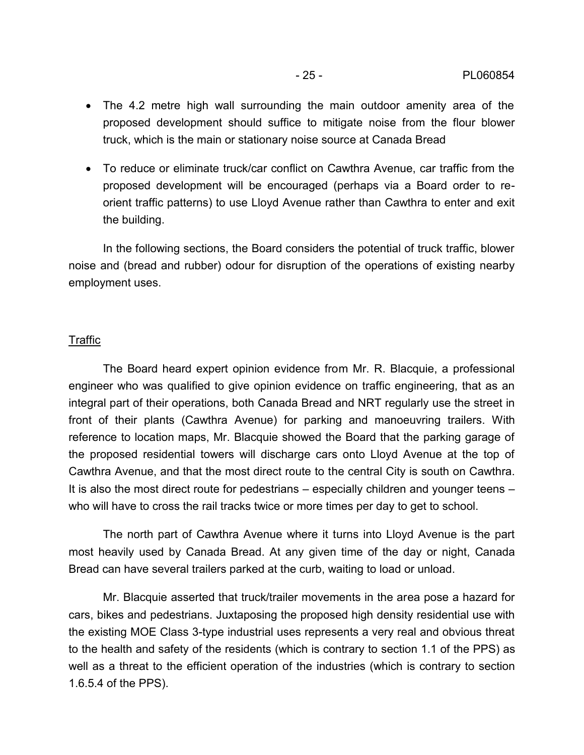- The 4.2 metre high wall surrounding the main outdoor amenity area of the proposed development should suffice to mitigate noise from the flour blower truck, which is the main or stationary noise source at Canada Bread
- To reduce or eliminate truck/car conflict on Cawthra Avenue, car traffic from the proposed development will be encouraged (perhaps via a Board order to re orient traffic patterns) to use Lloyd Avenue rather than Cawthra to enter and exit the building.

In the following sections, the Board considers the potential of truck traffic, blower noise and (bread and rubber) odour for disruption of the operations of existing nearby employment uses.

## Traffic

The Board heard expert opinion evidence from Mr. R. Blacquie, a professional engineer who was qualified to give opinion evidence on traffic engineering, that as an integral part of their operations, both Canada Bread and NRT regularly use the street in front of their plants (Cawthra Avenue) for parking and manoeuvring trailers. With reference to location maps, Mr. Blacquie showed the Board that the parking garage of the proposed residential towers will discharge cars onto Lloyd Avenue at the top of Cawthra Avenue, and that the most direct route to the central City is south on Cawthra. It is also the most direct route for pedestrians – especially children and younger teens – who will have to cross the rail tracks twice or more times per day to get to school.

The north part of Cawthra Avenue where it turns into Lloyd Avenue is the part most heavily used by Canada Bread. At any given time of the day or night, Canada Bread can have several trailers parked at the curb, waiting to load or unload.

Mr. Blacquie asserted that truck/trailer movements in the area pose a hazard for cars, bikes and pedestrians. Juxtaposing the proposed high density residential use with the existing MOE Class 3-type industrial uses represents a very real and obvious threat to the health and safety of the residents (which is contrary to section 1.1 of the PPS) as well as a threat to the efficient operation of the industries (which is contrary to section 1.6.5.4 of the PPS).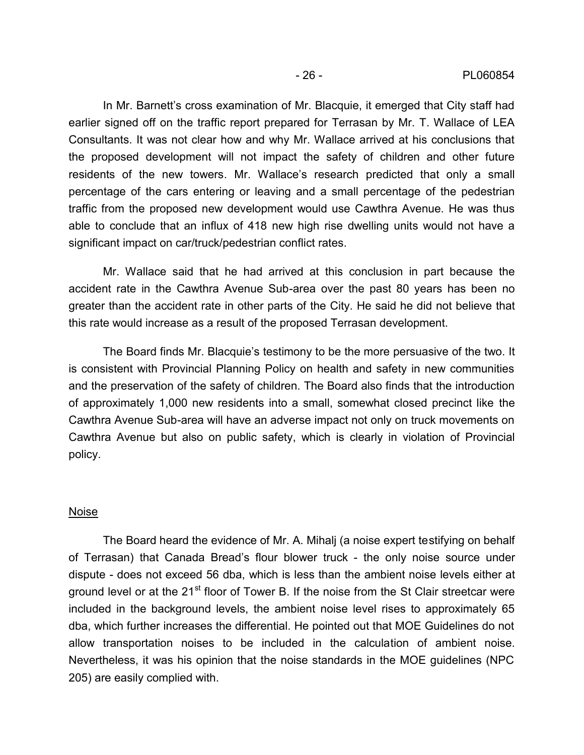In Mr. Barnett's cross examination of Mr. Blacquie, it emerged that City staff had earlier signed off on the traffic report prepared for Terrasan by Mr. T. Wallace of LEA Consultants. It was not clear how and why Mr. Wallace arrived at his conclusions that the proposed development will not impact the safety of children and other future residents of the new towers. Mr. Wallace's research predicted that only a small percentage of the cars entering or leaving and a small percentage of the pedestrian traffic from the proposed new development would use Cawthra Avenue. He was thus able to conclude that an influx of 418 new high rise dwelling units would not have a significant impact on car/truck/pedestrian conflict rates.

Mr. Wallace said that he had arrived at this conclusion in part because the accident rate in the Cawthra Avenue Sub-area over the past 80 years has been no greater than the accident rate in other parts of the City. He said he did not believe that this rate would increase as a result of the proposed Terrasan development.

The Board finds Mr. Blacquie's testimony to be the more persuasive of the two. It is consistent with Provincial Planning Policy on health and safety in new communities and the preservation of the safety of children. The Board also finds that the introduction of approximately 1,000 new residents into a small, somewhat closed precinct like the Cawthra Avenue Sub-area will have an adverse impact not only on truck movements on Cawthra Avenue but also on public safety, which is clearly in violation of Provincial policy.

### Noise

The Board heard the evidence of Mr. A. Mihalj (a noise expert testifying on behalf of Terrasan) that Canada Bread's flour blower truck - the only noise source under dispute - does not exceed 56 dba, which is less than the ambient noise levels either at ground level or at the 21<sup>st</sup> floor of Tower B. If the noise from the St Clair streetcar were included in the background levels, the ambient noise level rises to approximately 65 dba, which further increases the differential. He pointed out that MOE Guidelines do not allow transportation noises to be included in the calculation of ambient noise. Nevertheless, it was his opinion that the noise standards in the MOE guidelines (NPC 205) are easily complied with.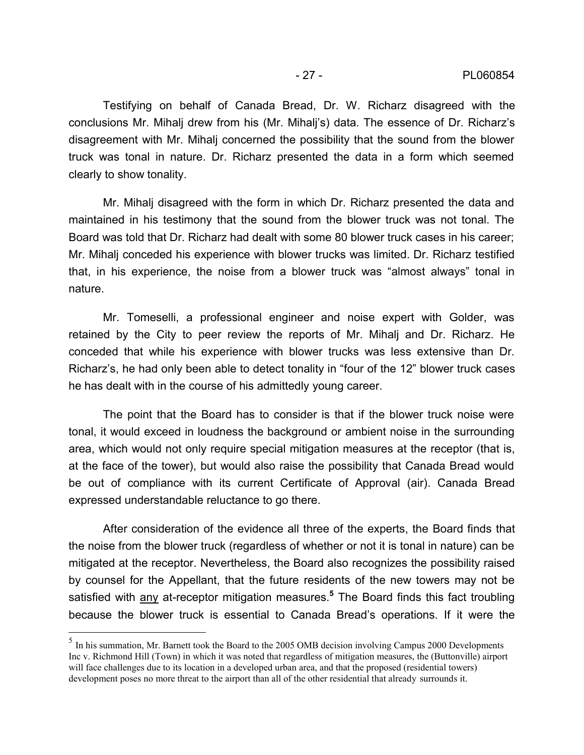Testifying on behalf of Canada Bread, Dr. W. Richarz disagreed with the conclusions Mr. Mihalj drew from his (Mr. Mihalj's) data. The essence of Dr. Richarz's disagreement with Mr. Mihalj concerned the possibility that the sound from the blower truck was tonal in nature. Dr. Richarz presented the data in a form which seemed clearly to show tonality.

Mr. Mihalj disagreed with the form in which Dr. Richarz presented the data and maintained in his testimony that the sound from the blower truck was not tonal. The Board was told that Dr. Richarz had dealt with some 80 blower truck cases in his career; Mr. Mihalj conceded his experience with blower trucks was limited. Dr. Richarz testified that, in his experience, the noise from a blower truck was "almost always" tonal in nature.

Mr. Tomeselli, a professional engineer and noise expert with Golder, was retained by the City to peer review the reports of Mr. Mihalj and Dr. Richarz. He conceded that while his experience with blower trucks was less extensive than Dr. Richarz's, he had only been able to detect tonality in "four of the 12" blower truck cases he has dealt with in the course of his admittedly young career.

The point that the Board has to consider is that if the blower truck noise were tonal, it would exceed in loudness the background or ambient noise in the surrounding area, which would not only require special mitigation measures at the receptor (that is, at the face of the tower), but would also raise the possibility that Canada Bread would be out of compliance with its current Certificate of Approval (air). Canada Bread expressed understandable reluctance to go there.

After consideration of the evidence all three of the experts, the Board finds that the noise from the blower truck (regardless of whether or not it is tonal in nature) can be mitigated at the receptor. Nevertheless, the Board also recognizes the possibility raised by counsel for the Appellant, that the future residents of the new towers may not be satisfied with <u>any</u> at-receptor mitigation measures.<sup>5</sup> The Board finds this fact troubling because the blower truck is essential to Canada Bread's operations. If it were the

<sup>&</sup>lt;sup>5</sup> In his summation, Mr. Barnett took the Board to the 2005 OMB decision involving Campus 2000 Developments Inc v. Richmond Hill (Town) in which it was noted that regardless of mitigation measures, the (Buttonville) airport will face challenges due to its location in a developed urban area, and that the proposed (residential towers) development poses no more threat to the airport than all of the other residential that already surrounds it.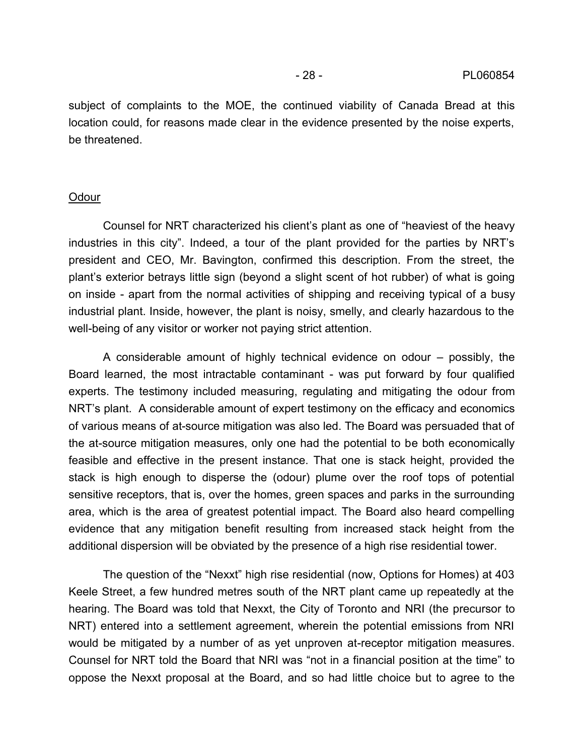subject of complaints to the MOE, the continued viability of Canada Bread at this location could, for reasons made clear in the evidence presented by the noise experts, be threatened.

#### **Odour**

Counsel for NRT characterized his client's plant as one of "heaviest of the heavy industries in this city". Indeed, a tour of the plant provided for the parties by NRT's president and CEO, Mr. Bavington, confirmed this description. From the street, the plant's exterior betrays little sign (beyond a slight scent of hot rubber) of what is going on inside - apart from the normal activities of shipping and receiving typical of a busy industrial plant. Inside, however, the plant is noisy, smelly, and clearly hazardous to the well-being of any visitor or worker not paying strict attention.

A considerable amount of highly technical evidence on odour – possibly, the Board learned, the most intractable contaminant - was put forward by four qualified experts. The testimony included measuring, regulating and mitigating the odour from NRT's plant. A considerable amount of expert testimony on the efficacy and economics of various means of at-source mitigation was also led. The Board was persuaded that of the at-source mitigation measures, only one had the potential to be both economically feasible and effective in the present instance. That one is stack height, provided the stack is high enough to disperse the (odour) plume over the roof tops of potential sensitive receptors, that is, over the homes, green spaces and parks in the surrounding area, which is the area of greatest potential impact. The Board also heard compelling evidence that any mitigation benefit resulting from increased stack height from the additional dispersion will be obviated by the presence of a high rise residential tower.

The question of the "Nexxt" high rise residential (now, Options for Homes) at 403 Keele Street, a few hundred metres south of the NRT plant came up repeatedly at the hearing. The Board was told that Nexxt, the City of Toronto and NRI (the precursor to NRT) entered into a settlement agreement, wherein the potential emissions from NRI would be mitigated by a number of as yet unproven at-receptor mitigation measures. Counsel for NRT told the Board that NRI was "not in a financial position at the time" to oppose the Nexxt proposal at the Board, and so had little choice but to agree to the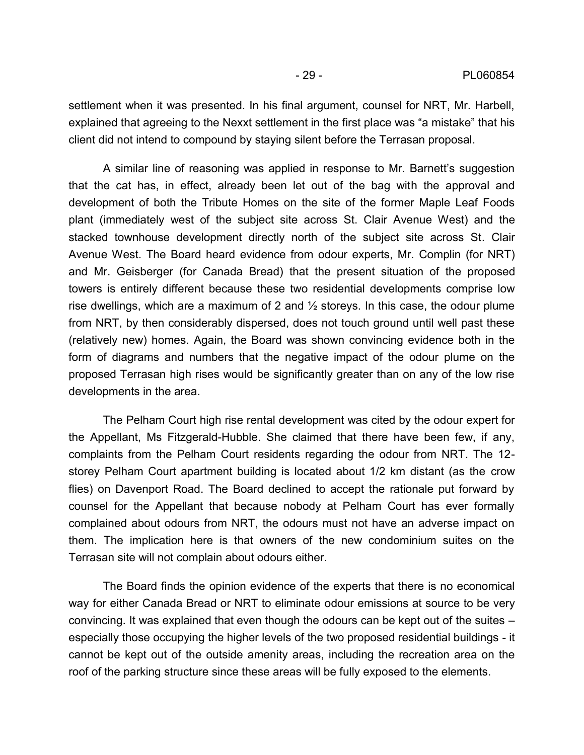settlement when it was presented. In his final argument, counsel for NRT, Mr. Harbell, explained that agreeing to the Nexxt settlement in the first place was "a mistake" that his client did not intend to compound by staying silent before the Terrasan proposal.

A similar line of reasoning was applied in response to Mr. Barnett's suggestion that the cat has, in effect, already been let out of the bag with the approval and development of both the Tribute Homes on the site of the former Maple Leaf Foods plant (immediately west of the subject site across St. Clair Avenue West) and the stacked townhouse development directly north of the subject site across St. Clair Avenue West. The Board heard evidence from odour experts, Mr. Complin (for NRT) and Mr. Geisberger (for Canada Bread) that the present situation of the proposed towers is entirely different because these two residential developments comprise low rise dwellings, which are a maximum of 2 and ½ storeys. In this case, the odour plume from NRT, by then considerably dispersed, does not touch ground until well past these (relatively new) homes. Again, the Board was shown convincing evidence both in the form of diagrams and numbers that the negative impact of the odour plume on the proposed Terrasan high rises would be significantly greater than on any of the low rise developments in the area.

The Pelham Court high rise rental development was cited by the odour expert for the Appellant, Ms Fitzgerald-Hubble. She claimed that there have been few, if any, complaints from the Pelham Court residents regarding the odour from NRT. The 12 storey Pelham Court apartment building is located about 1/2 km distant (as the crow flies) on Davenport Road. The Board declined to accept the rationale put forward by counsel for the Appellant that because nobody at Pelham Court has ever formally complained about odours from NRT, the odours must not have an adverse impact on them. The implication here is that owners of the new condominium suites on the Terrasan site will not complain about odours either.

The Board finds the opinion evidence of the experts that there is no economical way for either Canada Bread or NRT to eliminate odour emissions at source to be very convincing. It was explained that even though the odours can be kept out of the suites – especially those occupying the higher levels of the two proposed residential buildings - it cannot be kept out of the outside amenity areas, including the recreation area on the roof of the parking structure since these areas will be fully exposed to the elements.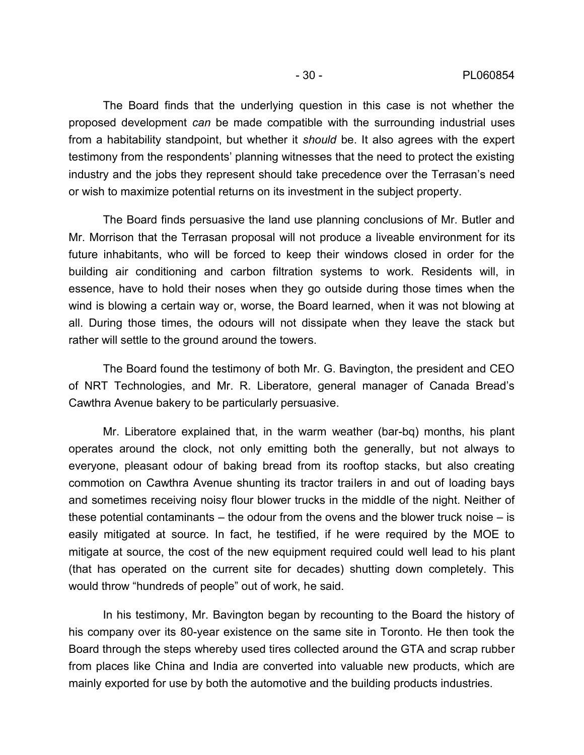The Board finds that the underlying question in this case is not whether the proposed development *can* be made compatible with the surrounding industrial uses from a habitability standpoint, but whether it *should* be. It also agrees with the expert testimony from the respondents' planning witnesses that the need to protect the existing industry and the jobs they represent should take precedence over the Terrasan's need or wish to maximize potential returns on its investment in the subject property.

The Board finds persuasive the land use planning conclusions of Mr. Butler and Mr. Morrison that the Terrasan proposal will not produce a liveable environment for its future inhabitants, who will be forced to keep their windows closed in order for the building air conditioning and carbon filtration systems to work. Residents will, in essence, have to hold their noses when they go outside during those times when the wind is blowing a certain way or, worse, the Board learned, when it was not blowing at all. During those times, the odours will not dissipate when they leave the stack but rather will settle to the ground around the towers.

The Board found the testimony of both Mr. G. Bavington, the president and CEO of NRT Technologies, and Mr. R. Liberatore, general manager of Canada Bread's Cawthra Avenue bakery to be particularly persuasive.

Mr. Liberatore explained that, in the warm weather (bar-bq) months, his plant operates around the clock, not only emitting both the generally, but not always to everyone, pleasant odour of baking bread from its rooftop stacks, but also creating commotion on Cawthra Avenue shunting its tractor trailers in and out of loading bays and sometimes receiving noisy flour blower trucks in the middle of the night. Neither of these potential contaminants – the odour from the ovens and the blower truck noise – is easily mitigated at source. In fact, he testified, if he were required by the MOE to mitigate at source, the cost of the new equipment required could well lead to his plant (that has operated on the current site for decades) shutting down completely. This would throw "hundreds of people" out of work, he said.

In his testimony, Mr. Bavington began by recounting to the Board the history of his company over its 80-year existence on the same site in Toronto. He then took the Board through the steps whereby used tires collected around the GTA and scrap rubber from places like China and India are converted into valuable new products, which are mainly exported for use by both the automotive and the building products industries.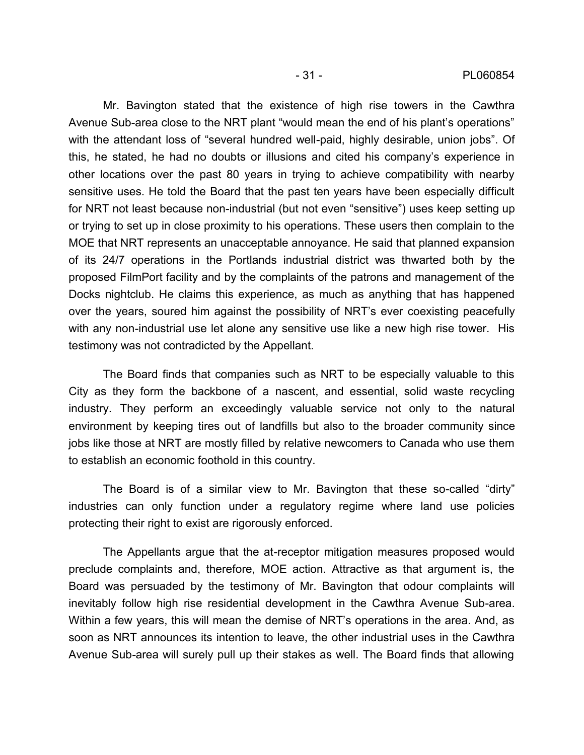Mr. Bavington stated that the existence of high rise towers in the Cawthra Avenue Sub-area close to the NRT plant "would mean the end of his plant's operations" with the attendant loss of "several hundred well-paid, highly desirable, union jobs". Of this, he stated, he had no doubts or illusions and cited his company's experience in other locations over the past 80 years in trying to achieve compatibility with nearby sensitive uses. He told the Board that the past ten years have been especially difficult for NRT not least because non-industrial (but not even "sensitive") uses keep setting up or trying to set up in close proximity to his operations. These users then complain to the MOE that NRT represents an unacceptable annoyance. He said that planned expansion of its 24/7 operations in the Portlands industrial district was thwarted both by the proposed FilmPort facility and by the complaints of the patrons and management of the Docks nightclub. He claims this experience, as much as anything that has happened over the years, soured him against the possibility of NRT's ever coexisting peacefully with any non-industrial use let alone any sensitive use like a new high rise tower. His testimony was not contradicted by the Appellant.

The Board finds that companies such as NRT to be especially valuable to this City as they form the backbone of a nascent, and essential, solid waste recycling industry. They perform an exceedingly valuable service not only to the natural environment by keeping tires out of landfills but also to the broader community since jobs like those at NRT are mostly filled by relative newcomers to Canada who use them to establish an economic foothold in this country.

The Board is of a similar view to Mr. Bavington that these so-called "dirty" industries can only function under a regulatory regime where land use policies protecting their right to exist are rigorously enforced.

The Appellants argue that the at-receptor mitigation measures proposed would preclude complaints and, therefore, MOE action. Attractive as that argument is, the Board was persuaded by the testimony of Mr. Bavington that odour complaints will inevitably follow high rise residential development in the Cawthra Avenue Sub-area. Within a few years, this will mean the demise of NRT's operations in the area. And, as soon as NRT announces its intention to leave, the other industrial uses in the Cawthra Avenue Sub-area will surely pull up their stakes as well. The Board finds that allowing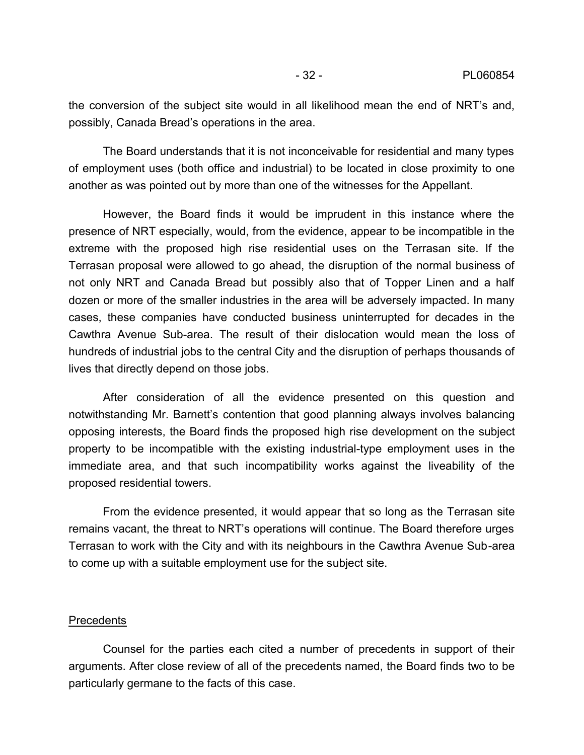the conversion of the subject site would in all likelihood mean the end of NRT's and, possibly, Canada Bread's operations in the area.

The Board understands that it is not inconceivable for residential and many types of employment uses (both office and industrial) to be located in close proximity to one another as was pointed out by more than one of the witnesses for the Appellant.

However, the Board finds it would be imprudent in this instance where the presence of NRT especially, would, from the evidence, appear to be incompatible in the extreme with the proposed high rise residential uses on the Terrasan site. If the Terrasan proposal were allowed to go ahead, the disruption of the normal business of not only NRT and Canada Bread but possibly also that of Topper Linen and a half dozen or more of the smaller industries in the area will be adversely impacted. In many cases, these companies have conducted business uninterrupted for decades in the Cawthra Avenue Sub-area. The result of their dislocation would mean the loss of hundreds of industrial jobs to the central City and the disruption of perhaps thousands of lives that directly depend on those jobs.

After consideration of all the evidence presented on this question and notwithstanding Mr. Barnett's contention that good planning always involves balancing opposing interests, the Board finds the proposed high rise development on the subject property to be incompatible with the existing industrial-type employment uses in the immediate area, and that such incompatibility works against the liveability of the proposed residential towers.

From the evidence presented, it would appear that so long as the Terrasan site remains vacant, the threat to NRT's operations will continue. The Board therefore urges Terrasan to work with the City and with its neighbours in the Cawthra Avenue Sub-area to come up with a suitable employment use for the subject site.

#### **Precedents**

Counsel for the parties each cited a number of precedents in support of their arguments. After close review of all of the precedents named, the Board finds two to be particularly germane to the facts of this case.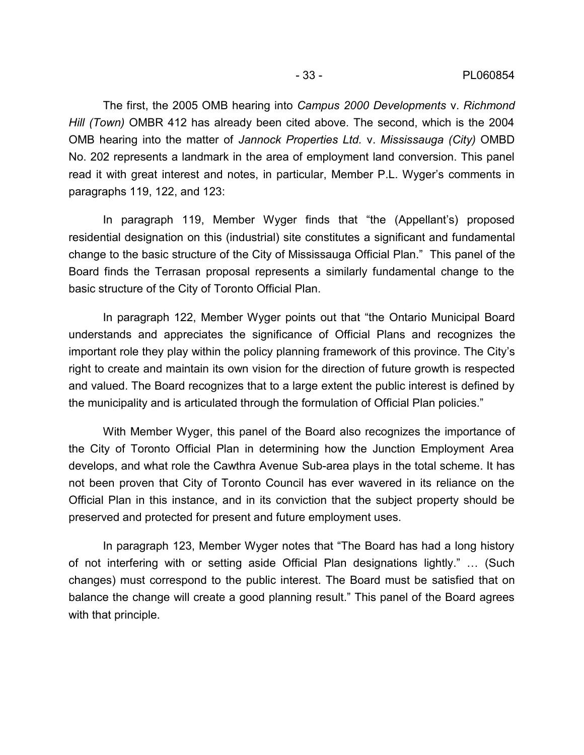The first, the 2005 OMB hearing into *Campus 2000 Developments* v. *Richmond Hill (Town)* OMBR 412 has already been cited above. The second, which is the 2004 OMB hearing into the matter of *Jannock Properties Ltd.* v. *Mississauga (City)* OMBD No. 202 represents a landmark in the area of employment land conversion. This panel read it with great interest and notes, in particular, Member P.L. Wyger's comments in paragraphs 119, 122, and 123:

In paragraph 119, Member Wyger finds that "the (Appellant's) proposed residential designation on this (industrial) site constitutes a significant and fundamental change to the basic structure of the City of Mississauga Official Plan." This panel of the Board finds the Terrasan proposal represents a similarly fundamental change to the basic structure of the City of Toronto Official Plan.

In paragraph 122, Member Wyger points out that "the Ontario Municipal Board understands and appreciates the significance of Official Plans and recognizes the important role they play within the policy planning framework of this province. The City's right to create and maintain its own vision for the direction of future growth is respected and valued. The Board recognizes that to a large extent the public interest is defined by the municipality and is articulated through the formulation of Official Plan policies."

With Member Wyger, this panel of the Board also recognizes the importance of the City of Toronto Official Plan in determining how the Junction Employment Area develops, and what role the Cawthra Avenue Sub-area plays in the total scheme. It has not been proven that City of Toronto Council has ever wavered in its reliance on the Official Plan in this instance, and in its conviction that the subject property should be preserved and protected for present and future employment uses.

In paragraph 123, Member Wyger notes that "The Board has had a long history of not interfering with or setting aside Official Plan designations lightly." … (Such changes) must correspond to the public interest. The Board must be satisfied that on balance the change will create a good planning result." This panel of the Board agrees with that principle.